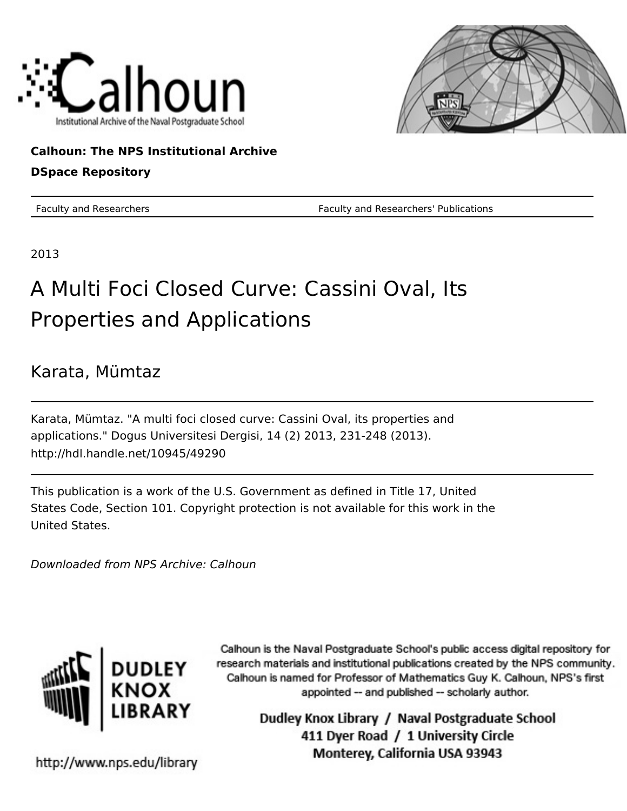



## **Calhoun: The NPS Institutional Archive**

### **DSpace Repository**

Faculty and Researchers Faculty and Researchers' Publications

2013

# A Multi Foci Closed Curve: Cassini Oval, Its Properties and Applications

## Karata, Mümtaz

Karata, Mümtaz. "A multi foci closed curve: Cassini Oval, its properties and applications." Dogus Universitesi Dergisi, 14 (2) 2013, 231-248 (2013). http://hdl.handle.net/10945/49290

This publication is a work of the U.S. Government as defined in Title 17, United States Code, Section 101. Copyright protection is not available for this work in the United States.

Downloaded from NPS Archive: Calhoun



Calhoun is the Naval Postgraduate School's public access digital repository for research materials and institutional publications created by the NPS community. Calhoun is named for Professor of Mathematics Guy K. Calhoun, NPS's first appointed -- and published -- scholarly author.

> Dudley Knox Library / Naval Postgraduate School 411 Dyer Road / 1 University Circle Monterey, California USA 93943

http://www.nps.edu/library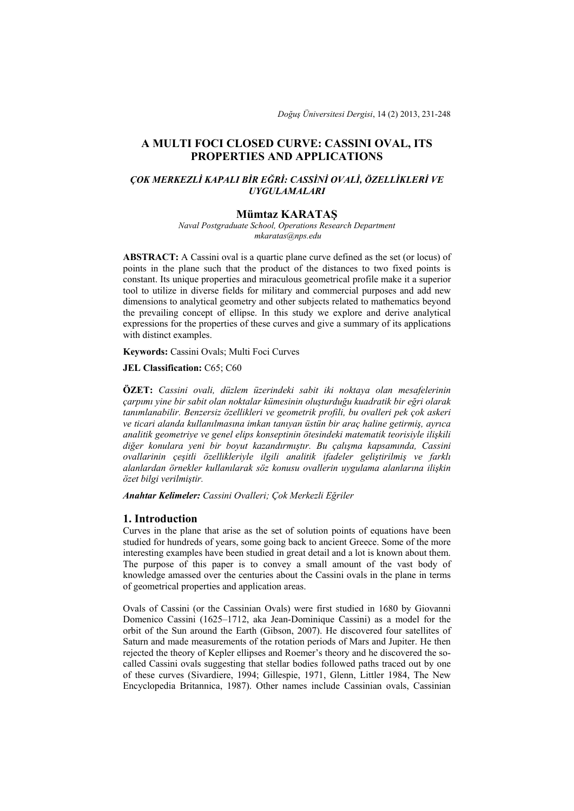*Doğuş Üniversitesi Dergisi*, 14 (2) 2013, 231-248

#### **A MULTI FOCI CLOSED CURVE: CASSINI OVAL, ITS PROPERTIES AND APPLICATIONS**

#### *ÇOK MERKEZLİ KAPALI BİR EĞRİ: CASSİNİ OVALİ, ÖZELLİKLERİ VE UYGULAMALARI*

#### **Mümtaz KARATAŞ**

*Naval Postgraduate School, Operations Research Department mkaratas@nps.edu*

**ABSTRACT:** A Cassini oval is a quartic plane curve defined as the set (or locus) of points in the plane such that the product of the distances to two fixed points is constant. Its unique properties and miraculous geometrical profile make it a superior tool to utilize in diverse fields for military and commercial purposes and add new dimensions to analytical geometry and other subjects related to mathematics beyond the prevailing concept of ellipse. In this study we explore and derive analytical expressions for the properties of these curves and give a summary of its applications with distinct examples.

**Keywords:** Cassini Ovals; Multi Foci Curves

**JEL Classification: C65; C60** 

**ÖZET:** *Cassini ovali, düzlem üzerindeki sabit iki noktaya olan mesafelerinin çarpımı yine bir sabit olan noktalar kümesinin oluşturduğu kuadratik bir eğri olarak tanımlanabilir. Benzersiz özellikleri ve geometrik profili, bu ovalleri pek çok askeri ve ticari alanda kullanılmasına imkan tanıyan üstün bir araç haline getirmiş, ayrıca analitik geometriye ve genel elips konseptinin ötesindeki matematik teorisiyle ilişkili diğer konulara yeni bir boyut kazandırmıştır. Bu çalışma kapsamında, Cassini ovallarinin çeşitli özellikleriyle ilgili analitik ifadeler geliştirilmiş ve farklı alanlardan örnekler kullanılarak söz konusu ovallerin uygulama alanlarına ilişkin özet bilgi verilmiştir.* 

*Anahtar Kelimeler: Cassini Ovalleri; Çok Merkezli Eğriler* 

#### **1. Introduction**

Curves in the plane that arise as the set of solution points of equations have been studied for hundreds of years, some going back to ancient Greece. Some of the more interesting examples have been studied in great detail and a lot is known about them. The purpose of this paper is to convey a small amount of the vast body of knowledge amassed over the centuries about the Cassini ovals in the plane in terms of geometrical properties and application areas.

Ovals of Cassini (or the Cassinian Ovals) were first studied in 1680 by Giovanni Domenico Cassini (1625–1712, aka Jean-Dominique Cassini) as a model for the orbit of the Sun around the Earth (Gibson, 2007). He discovered four satellites of Saturn and made measurements of the rotation periods of Mars and Jupiter. He then rejected the theory of Kepler ellipses and Roemer's theory and he discovered the socalled Cassini ovals suggesting that stellar bodies followed paths traced out by one of these curves (Sivardiere, 1994; Gillespie, 1971, Glenn, Littler 1984, The New Encyclopedia Britannica, 1987). Other names include Cassinian ovals, Cassinian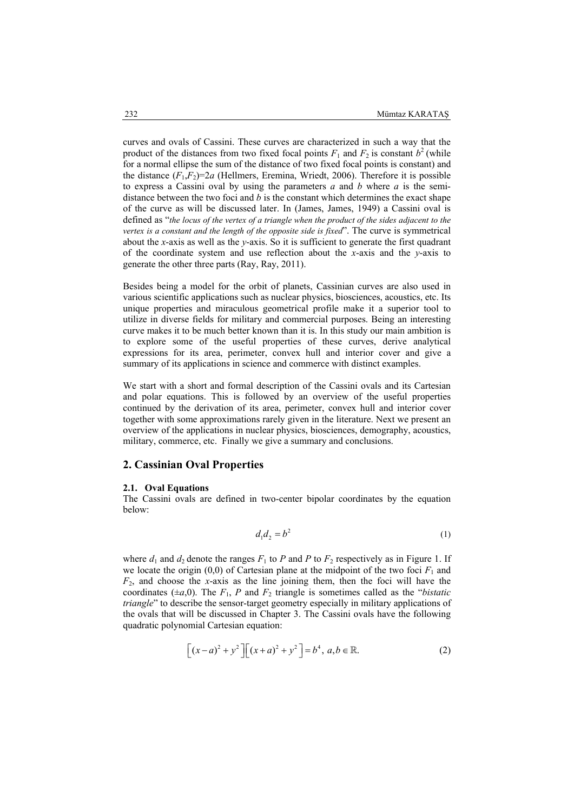curves and ovals of Cassini. These curves are characterized in such a way that the product of the distances from two fixed focal points  $F_1$  and  $F_2$  is constant  $b^2$  (while for a normal ellipse the sum of the distance of two fixed focal points is constant) and the distance  $(F_1, F_2) = 2a$  (Hellmers, Eremina, Wriedt, 2006). Therefore it is possible to express a Cassini oval by using the parameters *a* and *b* where *a* is the semidistance between the two foci and *b* is the constant which determines the exact shape of the curve as will be discussed later. In (James, James, 1949) a Cassini oval is defined as "*the locus of the vertex of a triangle when the product of the sides adjacent to the vertex is a constant and the length of the opposite side is fixed*". The curve is symmetrical about the *x*-axis as well as the *y*-axis. So it is sufficient to generate the first quadrant of the coordinate system and use reflection about the *x*-axis and the *y*-axis to generate the other three parts (Ray, Ray, 2011).

Besides being a model for the orbit of planets, Cassinian curves are also used in various scientific applications such as nuclear physics, biosciences, acoustics, etc. Its unique properties and miraculous geometrical profile make it a superior tool to utilize in diverse fields for military and commercial purposes. Being an interesting curve makes it to be much better known than it is. In this study our main ambition is to explore some of the useful properties of these curves, derive analytical expressions for its area, perimeter, convex hull and interior cover and give a summary of its applications in science and commerce with distinct examples.

We start with a short and formal description of the Cassini ovals and its Cartesian and polar equations. This is followed by an overview of the useful properties continued by the derivation of its area, perimeter, convex hull and interior cover together with some approximations rarely given in the literature. Next we present an overview of the applications in nuclear physics, biosciences, demography, acoustics, military, commerce, etc. Finally we give a summary and conclusions.

#### **2. Cassinian Oval Properties**

#### **2.1. Oval Equations**

The Cassini ovals are defined in two-center bipolar coordinates by the equation below:

$$
d_1 d_2 = b^2 \tag{1}
$$

where  $d_1$  and  $d_2$  denote the ranges  $F_1$  to  $P$  and  $P$  to  $F_2$  respectively as in Figure 1. If we locate the origin  $(0,0)$  of Cartesian plane at the midpoint of the two foci  $F_1$  and *F*2, and choose the *x*-axis as the line joining them, then the foci will have the coordinates ( $\pm a$ ,0). The  $F_1$ , *P* and  $F_2$  triangle is sometimes called as the "*bistatic triangle*" to describe the sensor-target geometry especially in military applications of the ovals that will be discussed in Chapter 3. The Cassini ovals have the following quadratic polynomial Cartesian equation:

$$
\[ (x-a)^2 + y^2 \] [(x+a)^2 + y^2] = b^4, a, b \in \mathbb{R}.\tag{2}
$$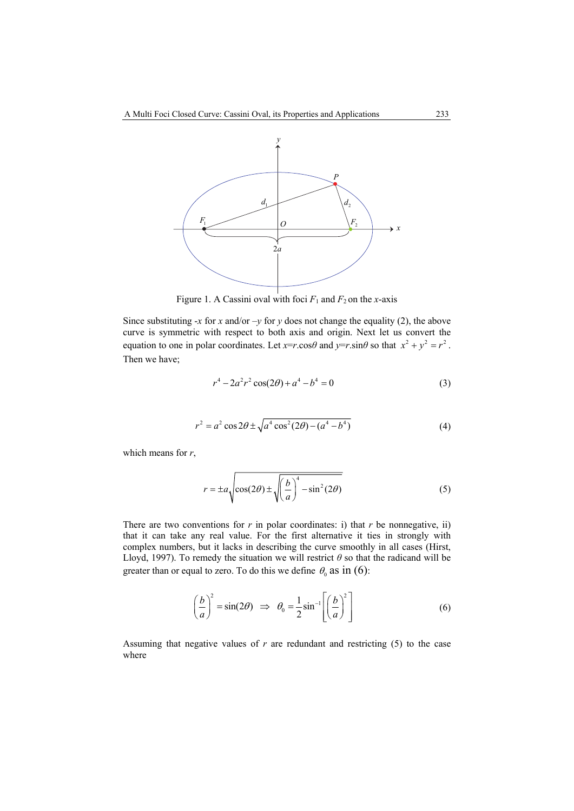

Figure 1. A Cassini oval with foci  $F_1$  and  $F_2$  on the *x*-axis

Since substituting  $-x$  for  $x$  and/or  $-y$  for  $y$  does not change the equality (2), the above curve is symmetric with respect to both axis and origin. Next let us convert the equation to one in polar coordinates. Let  $x=r\cos\theta$  and  $y=r\sin\theta$  so that  $x^2 + y^2 = r^2$ . Then we have;

$$
r^4 - 2a^2r^2\cos(2\theta) + a^4 - b^4 = 0\tag{3}
$$

$$
r^{2} = a^{2} \cos 2\theta \pm \sqrt{a^{4} \cos^{2}(2\theta) - (a^{4} - b^{4})}
$$
 (4)

which means for *r*,

$$
r = \pm a \sqrt{\cos(2\theta) \pm \sqrt{\left(\frac{b}{a}\right)^4 - \sin^2(2\theta)}}
$$
 (5)

There are two conventions for  $r$  in polar coordinates: i) that  $r$  be nonnegative, ii) that it can take any real value. For the first alternative it ties in strongly with complex numbers, but it lacks in describing the curve smoothly in all cases (Hirst, Lloyd, 1997). To remedy the situation we will restrict  $\theta$  so that the radicand will be greater than or equal to zero. To do this we define  $\theta_0$  as in (6):

$$
\left(\frac{b}{a}\right)^2 = \sin(2\theta) \implies \theta_0 = \frac{1}{2}\sin^{-1}\left[\left(\frac{b}{a}\right)^2\right] \tag{6}
$$

Assuming that negative values of  $r$  are redundant and restricting  $(5)$  to the case where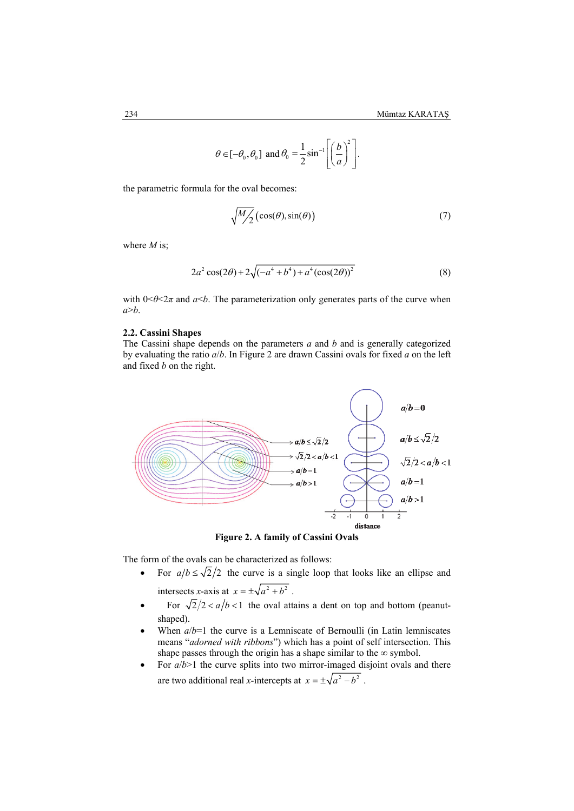$$
\theta \in [-\theta_0, \theta_0]
$$
 and  $\theta_0 = \frac{1}{2} \sin^{-1} \left[ \left( \frac{b}{a} \right)^2 \right].$ 

the parametric formula for the oval becomes:

$$
\sqrt{\frac{M}{2}}\left(\cos(\theta), \sin(\theta)\right) \tag{7}
$$

where *M* is;

$$
2a^2\cos(2\theta) + 2\sqrt{(-a^4 + b^4) + a^4(\cos(2\theta))^2}
$$
 (8)

with  $0 \le \theta \le 2\pi$  and  $a \le b$ . The parameterization only generates parts of the curve when *a*>*b*.

#### **2.2. Cassini Shapes**

The Cassini shape depends on the parameters *a* and *b* and is generally categorized by evaluating the ratio *a*/*b*. In Figure 2 are drawn Cassini ovals for fixed *a* on the left and fixed *b* on the right.



**Figure 2. A family of Cassini Ovals** 

The form of the ovals can be characterized as follows:

- For  $a/b \le \sqrt{2}/2$  the curve is a single loop that looks like an ellipse and intersects *x*-axis at  $x = \pm \sqrt{a^2 + b^2}$ .
- For  $\sqrt{2}/2 < a/b < 1$  the oval attains a dent on top and bottom (peanutshaped).
- When  $a/b=1$  the curve is a Lemniscate of Bernoulli (in Latin lemniscates means "*adorned with ribbons*") which has a point of self intersection. This shape passes through the origin has a shape similar to the  $\infty$  symbol.
- For  $a/b>1$  the curve splits into two mirror-imaged disjoint ovals and there are two additional real *x*-intercepts at  $x = \pm \sqrt{a^2 - b^2}$ .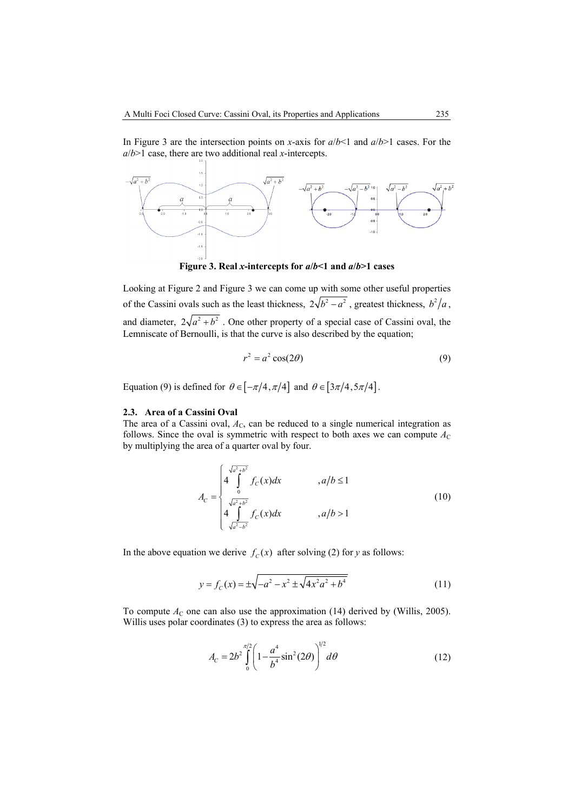In Figure 3 are the intersection points on *x*-axis for *a*/*b*<1 and *a*/*b*>1 cases. For the *a*/*b*>1 case, there are two additional real *x*-intercepts.



**Figure 3. Real** *x***-intercepts for** *a***/***b***<1 and** *a***/***b***>1 cases** 

Looking at Figure 2 and Figure 3 we can come up with some other useful properties of the Cassini ovals such as the least thickness,  $2\sqrt{b^2-a^2}$ , greatest thickness,  $b^2/a$ , and diameter,  $2\sqrt{a^2 + b^2}$ . One other property of a special case of Cassini oval, the Lemniscate of Bernoulli, is that the curve is also described by the equation;

$$
r^2 = a^2 \cos(2\theta) \tag{9}
$$

Equation (9) is defined for  $\theta \in [-\pi/4, \pi/4]$  and  $\theta \in [3\pi/4, 5\pi/4]$ .

#### **2.3. Area of a Cassini Oval**

The area of a Cassini oval,  $A<sub>C</sub>$ , can be reduced to a single numerical integration as follows. Since the oval is symmetric with respect to both axes we can compute  $A_C$ by multiplying the area of a quarter oval by four.

$$
A_C = \begin{cases} 4 \int_0^{\sqrt{a^2 + b^2}} f_C(x) dx & , a/b \le 1\\ \sqrt{a^2 + b^2} \\ 4 \int_{\sqrt{a^2 - b^2}}^{a^2 + b^2} f_C(x) dx & , a/b > 1 \end{cases}
$$
(10)

In the above equation we derive  $f_c(x)$  after solving (2) for *y* as follows:

$$
y = f_C(x) = \pm \sqrt{-a^2 - x^2 \pm \sqrt{4x^2 a^2 + b^4}}
$$
 (11)

To compute  $A_C$  one can also use the approximation (14) derived by (Willis, 2005). Willis uses polar coordinates (3) to express the area as follows:

$$
A_C = 2b^2 \int_0^{\pi/2} \left(1 - \frac{a^4}{b^4} \sin^2(2\theta)\right)^{1/2} d\theta \tag{12}
$$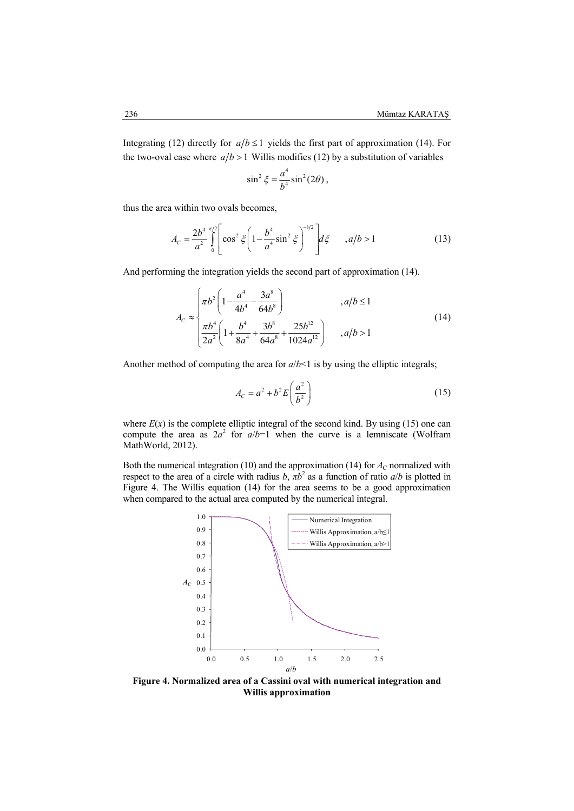Integrating (12) directly for  $a/b \le 1$  yields the first part of approximation (14). For the two-oval case where  $a/b > 1$  Willis modifies (12) by a substitution of variables

$$
\sin^2 \xi = \frac{a^4}{b^4} \sin^2(2\theta) ,
$$

thus the area within two ovals becomes,

$$
A_C = \frac{2b^4}{a^2} \int_0^{\pi/2} \left[ \cos^2 \xi \left( 1 - \frac{b^4}{a^4} \sin^2 \xi \right)^{-1/2} \right] d\xi \qquad , a/b > 1 \tag{13}
$$

And performing the integration yields the second part of approximation (14).

$$
A_C \approx \begin{cases} \pi b^2 \left( 1 - \frac{a^4}{4b^4} - \frac{3a^8}{64b^8} \right) & , a/b \le 1\\ \pi b^4 \left( 1 + \frac{b^4}{8a^4} + \frac{3b^8}{64a^8} + \frac{25b^{12}}{1024a^{12}} \right) & , a/b > 1 \end{cases}
$$
(14)

Another method of computing the area for  $a/b < 1$  is by using the elliptic integrals;

$$
A_C = a^2 + b^2 E \left(\frac{a^2}{b^2}\right) \tag{15}
$$

where  $E(x)$  is the complete elliptic integral of the second kind. By using (15) one can compute the area as  $2a^2$  for  $a/b=1$  when the curve is a lemniscate (Wolfram MathWorld, 2012).

Both the numerical integration (10) and the approximation (14) for  $A_C$  normalized with respect to the area of a circle with radius *b*,  $\pi b^2$  as a function of ratio *a*/*b* is plotted in Figure 4. The Willis equation (14) for the area seems to be a good approximation when compared to the actual area computed by the numerical integral.



**Figure 4. Normalized area of a Cassini oval with numerical integration and Willis approximation**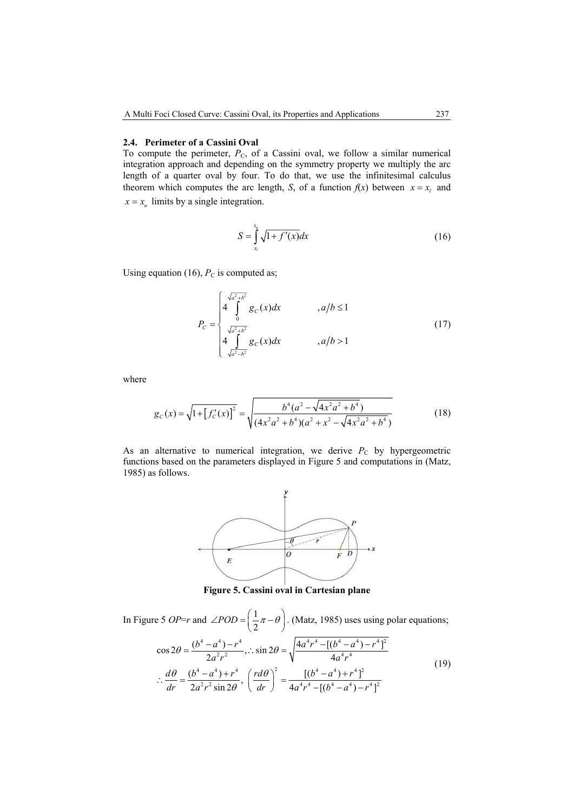#### **2.4. Perimeter of a Cassini Oval**

To compute the perimeter,  $P_c$ , of a Cassini oval, we follow a similar numerical integration approach and depending on the symmetry property we multiply the arc length of a quarter oval by four. To do that, we use the infinitesimal calculus theorem which computes the arc length, *S*, of a function  $f(x)$  between  $x = x_i$  and  $x = x_u$  limits by a single integration.

$$
S = \int_{x_i}^{x_u} \sqrt{1 + f'(x)} dx
$$
 (16)

Using equation (16),  $P_C$  is computed as;

$$
P_C = \begin{cases} 4 \int_0^{\sqrt{a^2 + b^2}} g_C(x) dx & , a/b \le 1 \\ \sqrt{a^2 + b^2} & , a/b > 1 \end{cases}
$$
 (17)

where

$$
g_C(x) = \sqrt{1 + [f'_C(x)]^2} = \sqrt{\frac{b^4(a^2 - \sqrt{4x^2a^2 + b^4})}{(4x^2a^2 + b^4)(a^2 + x^2 - \sqrt{4x^2a^2 + b^4})}}
$$
(18)

As an alternative to numerical integration, we derive  $P_C$  by hypergeometric functions based on the parameters displayed in Figure 5 and computations in (Matz, 1985) as follows.



**Figure 5. Cassini oval in Cartesian plane** 

In Figure 5 *OP=r* and  $\angle POD = \left(\frac{1}{2}\pi - \theta\right)$ . (Matz, 1985) uses using polar equations;  $4 \times 4$   $u^4$   $4 \times 4$   $4 \times 4$   $12$  $\cos 2\theta = \frac{(b^4 - a^4) - r^4}{2a^2r^2}, \therefore \sin 2\theta = \sqrt{\frac{4a^4r^4 - [(b^4 - a^4) - r^4]}{4a^4r^4}}$ 4  $a^4$   $(a d \lambda)^2$   $[(b^4, a^4) + b^4]$  $rac{d\theta}{dr} = \frac{(b^4 - a^4) + r^4}{2a^2r^2 \sin 2\theta}, \left(\frac{rd\theta}{dr}\right)^2 = \frac{[(b^4 - a^4) + r^4]^2}{4a^4r^4 - [(b^4 - a^4) - r^4]^2}$  $\theta = \frac{(b^4 - a^4) - r^4}{2a^2r^2}$ ,  $\therefore$  sin 2 $\theta = \sqrt{\frac{4a^4r^4 - [(b^4 - a^4) - a^4}{4a^4r^4}}$ *dr*  $2a^2r^2\sin 2\theta$ , *dr dr d*  $4a^4r^4 - [(b^4 - a^4) - r^4]$  $\theta$   $(b^4-a^4)+r^4$   $\theta$  $\therefore \frac{d\theta}{dr} = \frac{(b^4 - a^4) + r^4}{2a^2r^2\sin 2\theta}, \left(\frac{rd\theta}{dr}\right)^2 = \frac{[(b^4 - a^4) + r^4]}{4a^4r^4 - [(b^4 - a^4) - (b^4 - a^4)]}$ (19)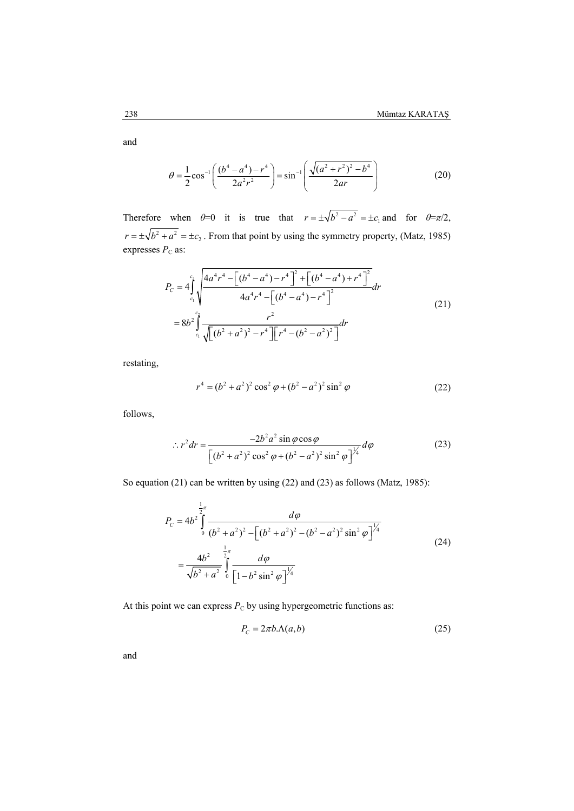and

$$
\theta = \frac{1}{2} \cos^{-1} \left( \frac{(b^4 - a^4) - r^4}{2a^2 r^2} \right) = \sin^{-1} \left( \frac{\sqrt{(a^2 + r^2)^2 - b^4}}{2ar} \right)
$$
(20)

Therefore when  $\theta=0$  it is true that  $r = \pm \sqrt{b^2 - a^2} = \pm c_1$  and for  $\theta=\pi/2$ ,  $r = \pm \sqrt{b^2 + a^2} = \pm c_2$ . From that point by using the symmetry property, (Matz, 1985) expresses  $P_C$  as:

$$
P_{C} = 4 \int_{c_{1}}^{c_{2}} \sqrt{\frac{4a^{4}r^{4} - \left[ (b^{4} - a^{4}) - r^{4} \right]^{2} + \left[ (b^{4} - a^{4}) + r^{4} \right]^{2}}{4a^{4}r^{4} - \left[ (b^{4} - a^{4}) - r^{4} \right]^{2}} dr}
$$
\n
$$
= 8b^{2} \int_{c_{1}}^{c_{2}} \frac{r^{2}}{\sqrt{\left[ (b^{2} + a^{2})^{2} - r^{4} \right] \left[ r^{4} - (b^{2} - a^{2})^{2} \right]}} dr
$$
\n(21)

restating,

$$
r^{4} = (b^{2} + a^{2})^{2} \cos^{2} \varphi + (b^{2} - a^{2})^{2} \sin^{2} \varphi
$$
 (22)

follows,

$$
\therefore r^2 dr = \frac{-2b^2 a^2 \sin \varphi \cos \varphi}{\left[ (b^2 + a^2)^2 \cos^2 \varphi + (b^2 - a^2)^2 \sin^2 \varphi \right]^{1/4}} d\varphi
$$
(23)

So equation (21) can be written by using (22) and (23) as follows (Matz, 1985):

$$
P_{C} = 4b^{2} \int_{0}^{\frac{1}{2}\pi} \frac{d\varphi}{(b^{2} + a^{2})^{2} - \left[ (b^{2} + a^{2})^{2} - (b^{2} - a^{2})^{2} \sin^{2} \varphi \right]^{1/4}}
$$
  
= 
$$
\frac{4b^{2}}{\sqrt{b^{2} + a^{2}}} \int_{0}^{\frac{1}{2}\pi} \frac{d\varphi}{\left[ 1 - b^{2} \sin^{2} \varphi \right]^{1/4}}
$$
(24)

At this point we can express  $P_C$  by using hypergeometric functions as:

$$
P_c = 2\pi b.\Lambda(a,b) \tag{25}
$$

and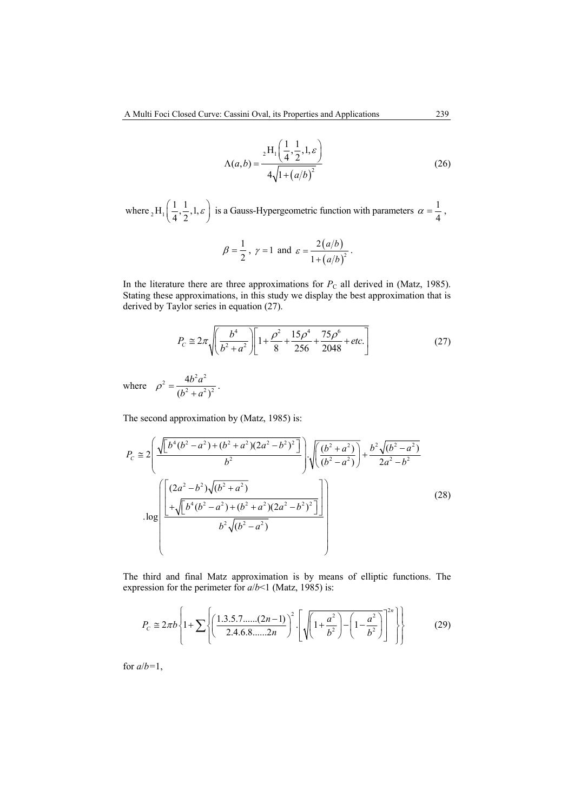$$
\Lambda(a,b) = \frac{{}_2\text{H}_1\left(\frac{1}{4},\frac{1}{2},1,\varepsilon\right)}{4\sqrt{1 + (a/b)^2}}
$$
(26)

where  $_2H_1\left(\frac{1}{4},\frac{1}{2},1,\varepsilon\right)$  $H_1\left(\frac{1}{4}, \frac{1}{2}, 1, \varepsilon\right)$  is a Gauss-Hypergeometric function with parameters  $\alpha = \frac{1}{4}$ ,

$$
\beta = \frac{1}{2}
$$
,  $\gamma = 1$  and  $\varepsilon = \frac{2(a/b)}{1 + (a/b)^2}$ .

In the literature there are three approximations for  $P_C$  all derived in (Matz, 1985). Stating these approximations, in this study we display the best approximation that is derived by Taylor series in equation (27).

$$
P_C \cong 2\pi \sqrt{\left(\frac{b^4}{b^2 + a^2}\right) \left[1 + \frac{\rho^2}{8} + \frac{15\rho^4}{256} + \frac{75\rho^6}{2048} + \text{etc.}\right]}
$$
(27)

where  $\rho^2 = \frac{4b^2a^2}{(b^2 + a^2)^2}$ 4  $(b^2 + a^2)$  $\rho^2 = \frac{4b^2a^2}{(b^2+a^2)^2}$ .

The second approximation by (Matz, 1985) is:

$$
P_{c} \approx 2\left(\frac{\sqrt{\left[b^{4}(b^{2}-a^{2})+(b^{2}+a^{2})(2a^{2}-b^{2})^{2}\right]}}{b^{2}}\right)\cdot\sqrt{\left(\frac{(b^{2}+a^{2})}{(b^{2}-a^{2})}\right)} + \frac{b^{2}\sqrt{(b^{2}-a^{2})}}{2a^{2}-b^{2}}
$$
  
.log
$$
\left(\frac{\left[(2a^{2}-b^{2})\sqrt{(b^{2}+a^{2})}}{+\sqrt{\left[b^{4}(b^{2}-a^{2})+(b^{2}+a^{2})(2a^{2}-b^{2})^{2}\right]}}\right)}{b^{2}\sqrt{(b^{2}-a^{2})}}\right)
$$
(28)

The third and final Matz approximation is by means of elliptic functions. The expression for the perimeter for *a*/*b*<1 (Matz, 1985) is:

$$
P_c \approx 2\pi b \left\{ 1 + \sum \left\{ \left( \frac{1.3.5.7 \dots (2n-1)}{2.4.6.8 \dots .2n} \right)^2 \cdot \left[ \sqrt{\left( 1 + \frac{a^2}{b^2} \right) - \left( 1 - \frac{a^2}{b^2} \right) \right]^2} \right\} \right\}
$$
(29)

for  $a/b=1$ ,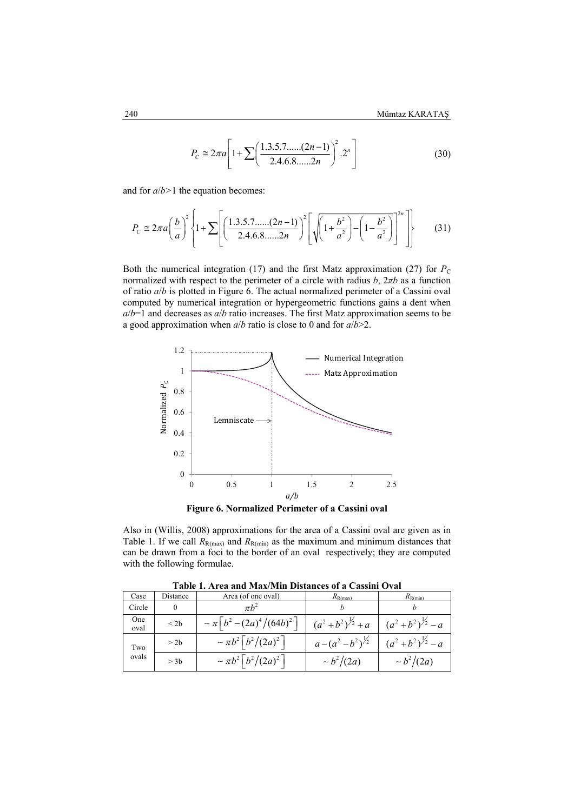$$
P_C \cong 2\pi a \left[ 1 + \sum \left( \frac{1.3.5.7 \dots (2n-1)}{2.4.6.8 \dots 2n} \right)^2 . 2^n \right]
$$
 (30)

and for *a*/*b>*1 the equation becomes:

$$
P_c \cong 2\pi a \left(\frac{b}{a}\right)^2 \left\{ 1 + \sum \left[ \left(\frac{1.3.5.7 \dots (2n-1)}{2.4.6.8 \dots 2n} \right)^2 \left[ \sqrt{\left(1 + \frac{b^2}{a^2}\right) - \left(1 - \frac{b^2}{a^2}\right)} \right] \right\}
$$
(31)

Both the numerical integration (17) and the first Matz approximation (27) for  $P_C$ normalized with respect to the perimeter of a circle with radius *b*, 2*πb* as a function of ratio *a*/*b* is plotted in Figure 6. The actual normalized perimeter of a Cassini oval computed by numerical integration or hypergeometric functions gains a dent when *a*/*b*=1 and decreases as *a*/*b* ratio increases. The first Matz approximation seems to be a good approximation when *a*/*b* ratio is close to 0 and for *a*/*b*>2.



Also in (Willis, 2008) approximations for the area of a Cassini oval are given as in Table 1. If we call  $R_{R(max)}$  and  $R_{R(min)}$  as the maximum and minimum distances that can be drawn from a foci to the border of an oval respectively; they are computed with the following formulae.

| таріс татіса ани маленін різвисся от а саязні Отан |           |                                                |                               |                                 |  |  |  |  |
|----------------------------------------------------|-----------|------------------------------------------------|-------------------------------|---------------------------------|--|--|--|--|
| Case                                               | Distance  | Area (of one oval)                             | $R_{\rm R(max)}$              | $R_{\rm R(min)}$                |  |  |  |  |
| Circle                                             |           |                                                |                               |                                 |  |  |  |  |
| One<br>oval                                        | $\leq$ 2b | $\sim \pi \left(b^2 - (2a)^4 / (64b)^2\right)$ | $(a^2+b^2)^{\frac{1}{2}} + a$ | $(a^{2}+b^{2})^{\frac{1}{2}}-a$ |  |  |  |  |
| Two                                                | > 2b      | $\sim \pi b^2 \left[ b^2 / (2a)^2 \right]$     | $a-(a^2-b^2)^{\frac{1}{2}}$   | $(a^{2}+b^{2})^{\frac{1}{2}}-a$ |  |  |  |  |
| ovals                                              | $>$ 3b    | $\sim \pi b^2 \left[ b^2 / (2a)^2 \right]$     | $\sim b^2/(2a)$               | $\sim b^2/(2a)$                 |  |  |  |  |

**Table 1. Area and Max/Min Distances of a Cassini Oval**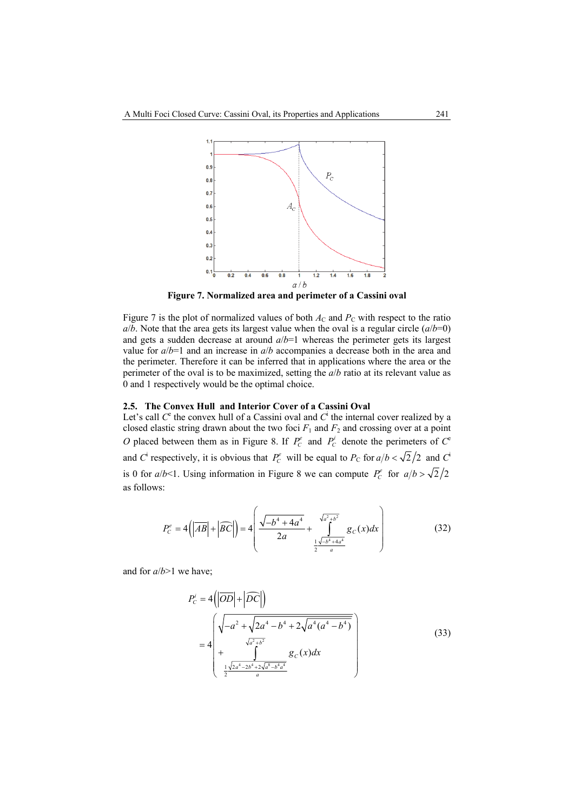

**Figure 7. Normalized area and perimeter of a Cassini oval** 

Figure 7 is the plot of normalized values of both  $A_C$  and  $P_C$  with respect to the ratio  $a/b$ . Note that the area gets its largest value when the oval is a regular circle  $(a/b=0)$ and gets a sudden decrease at around *a*/*b*=1 whereas the perimeter gets its largest value for *a*/*b*=1 and an increase in *a*/*b* accompanies a decrease both in the area and the perimeter. Therefore it can be inferred that in applications where the area or the perimeter of the oval is to be maximized, setting the *a*/*b* ratio at its relevant value as 0 and 1 respectively would be the optimal choice.

#### **2.5. The Convex Hull and Interior Cover of a Cassini Oval**

Let's call  $C^c$  the convex hull of a Cassini oval and  $C^i$  the internal cover realized by a closed elastic string drawn about the two foci  $F_1$  and  $F_2$  and crossing over at a point *O* placed between them as in Figure 8. If  $P_c^e$  and  $P_c^i$  denote the perimeters of  $C^e$ and *C*<sup> $\cdot$ </sup> respectively, it is obvious that  $P_c^e$  will be equal to  $P_c$  for  $a/b < \sqrt{2}/2$  and *C*<sup>i</sup> is 0 for  $a/b < 1$ . Using information in Figure 8 we can compute  $P_c^e$  for  $a/b > \sqrt{2}/2$ as follows:

$$
P_C^e = 4\left(\left|\overline{AB}\right| + \left|\overline{BC}\right|\right) = 4\left(\frac{\sqrt{-b^4 + 4a^4}}{2a} + \frac{\sqrt{a^2 + b^2}}{\frac{1}{2}\frac{\sqrt{-b^4 + 4a^4}}{a}}g_C(x)dx\right)
$$
(32)

and for *a*/*b*>1 we have;

$$
P_{C}^{i} = 4\left(\left|\overline{OD}\right| + \left|\overline{DC}\right|\right)
$$
\n
$$
= 4\left(\sqrt{-a^{2} + \sqrt{2a^{4} - b^{4} + 2\sqrt{a^{4}(a^{4} - b^{4})}}}\right) + \frac{\sqrt{a^{2} + b^{2}}}{\frac{1}{2}\sqrt{2a^{4} - 2b^{4} + 2\sqrt{a^{8} - b^{4}a^{4}}}} g_{C}(x)dx\right)
$$
\n(33)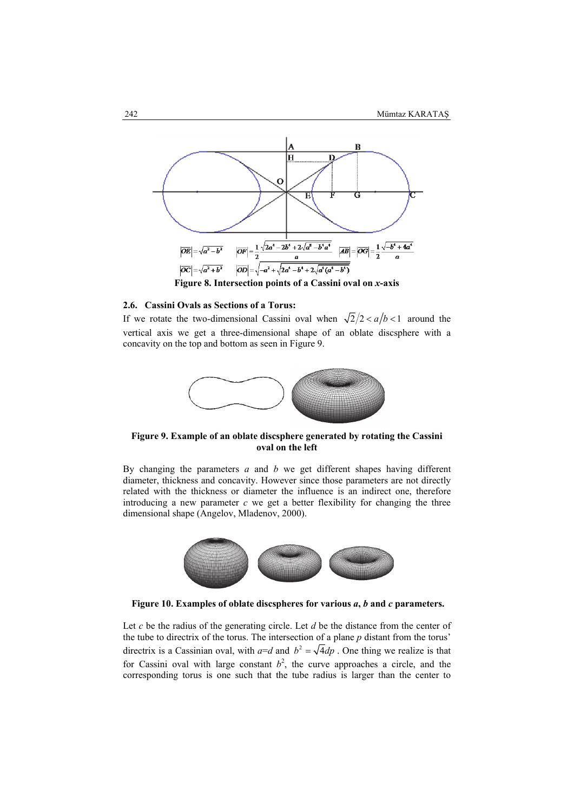

**Figure 8. Intersection points of a Cassini oval on** *x***-axis** 

#### **2.6. Cassini Ovals as Sections of a Torus:**

If we rotate the two-dimensional Cassini oval when  $\sqrt{2}/2 < a/b < 1$  around the vertical axis we get a three-dimensional shape of an oblate discsphere with a concavity on the top and bottom as seen in Figure 9.



**Figure 9. Example of an oblate discsphere generated by rotating the Cassini oval on the left** 

By changing the parameters *a* and *b* we get different shapes having different diameter, thickness and concavity. However since those parameters are not directly related with the thickness or diameter the influence is an indirect one, therefore introducing a new parameter  $c$  we get a better flexibility for changing the three dimensional shape (Angelov, Mladenov, 2000).



 **Figure 10. Examples of oblate discspheres for various** *a***,** *b* **and** *c* **parameters.** 

Let *c* be the radius of the generating circle. Let *d* be the distance from the center of the tube to directrix of the torus. The intersection of a plane *p* distant from the torus' directrix is a Cassinian oval, with  $a=d$  and  $b^2 = \sqrt{4}dp$ . One thing we realize is that for Cassini oval with large constant  $b^2$ , the curve approaches a circle, and the corresponding torus is one such that the tube radius is larger than the center to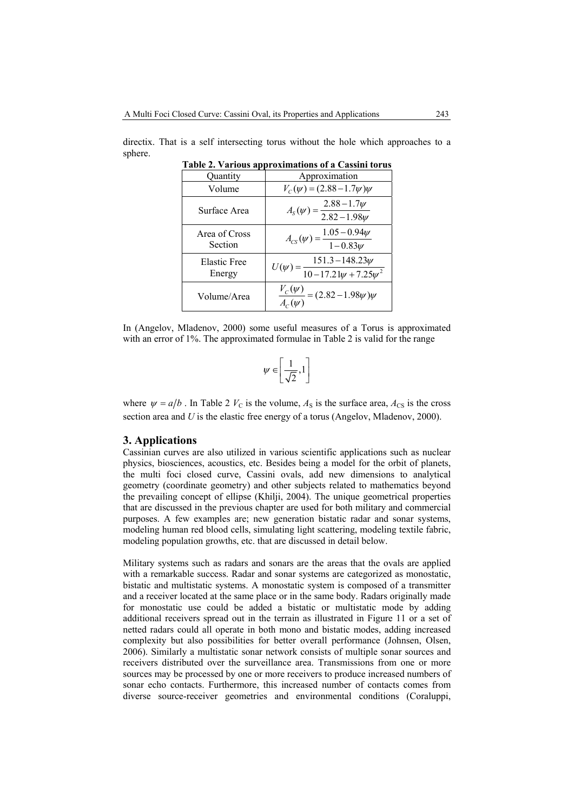directix. That is a self intersecting torus without the hole which approaches to a sphere. **Table 2. Various approximations of a Cassini torus** 

|  | <b>Table 2. Various approximations of a Cassini torus</b> |  |  |
|--|-----------------------------------------------------------|--|--|
|  |                                                           |  |  |

| Quantity                 | Approximation                                                      |
|--------------------------|--------------------------------------------------------------------|
| Volume                   | $V_c(\psi) = (2.88 - 1.7\psi)\psi$                                 |
| Surface Area             | $A_{s}(\psi) = \frac{2.88 - 1.7\psi}{2.82 - 1.98\psi}$             |
| Area of Cross<br>Section | $A_{CS}(\psi) = \frac{1.05 - 0.94\psi}{1 - 0.83\psi}$              |
| Elastic Free<br>Energy   | $U(\psi) = \frac{151.3 - 148.23\psi}{10 - 17.21\psi + 7.25\psi^2}$ |
| Volume/Area              | $\frac{V_c(\psi)}{A_c(\psi)} = (2.82 - 1.98\psi)\overline{\psi}$   |

In (Angelov, Mladenov, 2000) some useful measures of a Torus is approximated with an error of 1%. The approximated formulae in Table 2 is valid for the range

$$
\psi\in\left[\frac{1}{\sqrt{2}},1\right]
$$

where  $\psi = a/b$ . In Table 2  $V_C$  is the volume,  $A_S$  is the surface area,  $A_{CS}$  is the cross section area and *U* is the elastic free energy of a torus (Angelov, Mladenov, 2000).

#### **3. Applications**

Cassinian curves are also utilized in various scientific applications such as nuclear physics, biosciences, acoustics, etc. Besides being a model for the orbit of planets, the multi foci closed curve, Cassini ovals, add new dimensions to analytical geometry (coordinate geometry) and other subjects related to mathematics beyond the prevailing concept of ellipse (Khilji, 2004). The unique geometrical properties that are discussed in the previous chapter are used for both military and commercial purposes. A few examples are; new generation bistatic radar and sonar systems, modeling human red blood cells, simulating light scattering, modeling textile fabric, modeling population growths, etc. that are discussed in detail below.

Military systems such as radars and sonars are the areas that the ovals are applied with a remarkable success. Radar and sonar systems are categorized as monostatic, bistatic and multistatic systems. A monostatic system is composed of a transmitter and a receiver located at the same place or in the same body. Radars originally made for monostatic use could be added a bistatic or multistatic mode by adding additional receivers spread out in the terrain as illustrated in Figure 11 or a set of netted radars could all operate in both mono and bistatic modes, adding increased complexity but also possibilities for better overall performance (Johnsen, Olsen, 2006). Similarly a multistatic sonar network consists of multiple sonar sources and receivers distributed over the surveillance area. Transmissions from one or more sources may be processed by one or more receivers to produce increased numbers of sonar echo contacts. Furthermore, this increased number of contacts comes from diverse source-receiver geometries and environmental conditions (Coraluppi,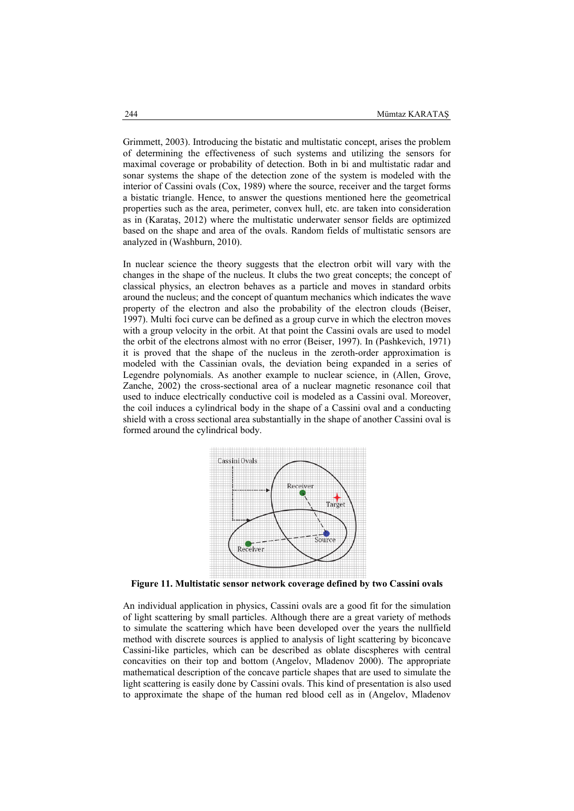Grimmett, 2003). Introducing the bistatic and multistatic concept, arises the problem of determining the effectiveness of such systems and utilizing the sensors for maximal coverage or probability of detection. Both in bi and multistatic radar and sonar systems the shape of the detection zone of the system is modeled with the interior of Cassini ovals (Cox, 1989) where the source, receiver and the target forms a bistatic triangle. Hence, to answer the questions mentioned here the geometrical properties such as the area, perimeter, convex hull, etc. are taken into consideration as in (Karataş, 2012) where the multistatic underwater sensor fields are optimized based on the shape and area of the ovals. Random fields of multistatic sensors are analyzed in (Washburn, 2010).

In nuclear science the theory suggests that the electron orbit will vary with the changes in the shape of the nucleus. It clubs the two great concepts; the concept of classical physics, an electron behaves as a particle and moves in standard orbits around the nucleus; and the concept of quantum mechanics which indicates the wave property of the electron and also the probability of the electron clouds (Beiser, 1997). Multi foci curve can be defined as a group curve in which the electron moves with a group velocity in the orbit. At that point the Cassini ovals are used to model the orbit of the electrons almost with no error (Beiser, 1997). In (Pashkevich, 1971) it is proved that the shape of the nucleus in the zeroth-order approximation is modeled with the Cassinian ovals, the deviation being expanded in a series of Legendre polynomials. As another example to nuclear science, in (Allen, Grove, Zanche, 2002) the cross-sectional area of a nuclear magnetic resonance coil that used to induce electrically conductive coil is modeled as a Cassini oval. Moreover, the coil induces a cylindrical body in the shape of a Cassini oval and a conducting shield with a cross sectional area substantially in the shape of another Cassini oval is formed around the cylindrical body.



**Figure 11. Multistatic sensor network coverage defined by two Cassini ovals** 

An individual application in physics, Cassini ovals are a good fit for the simulation of light scattering by small particles. Although there are a great variety of methods to simulate the scattering which have been developed over the years the nullfield method with discrete sources is applied to analysis of light scattering by biconcave Cassini-like particles, which can be described as oblate discspheres with central concavities on their top and bottom (Angelov, Mladenov 2000). The appropriate mathematical description of the concave particle shapes that are used to simulate the light scattering is easily done by Cassini ovals. This kind of presentation is also used to approximate the shape of the human red blood cell as in (Angelov, Mladenov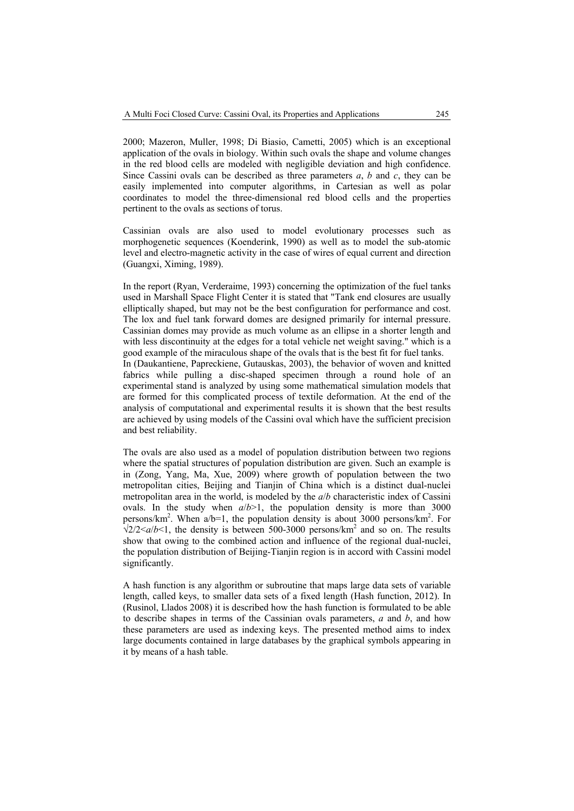2000; Mazeron, Muller, 1998; Di Biasio, Cametti, 2005) which is an exceptional application of the ovals in biology. Within such ovals the shape and volume changes in the red blood cells are modeled with negligible deviation and high confidence. Since Cassini ovals can be described as three parameters *a*, *b* and *c*, they can be easily implemented into computer algorithms, in Cartesian as well as polar coordinates to model the three-dimensional red blood cells and the properties pertinent to the ovals as sections of torus.

Cassinian ovals are also used to model evolutionary processes such as morphogenetic sequences (Koenderink, 1990) as well as to model the sub-atomic level and electro-magnetic activity in the case of wires of equal current and direction (Guangxi, Ximing, 1989).

In the report (Ryan, Verderaime, 1993) concerning the optimization of the fuel tanks used in Marshall Space Flight Center it is stated that "Tank end closures are usually elliptically shaped, but may not be the best configuration for performance and cost. The lox and fuel tank forward domes are designed primarily for internal pressure. Cassinian domes may provide as much volume as an ellipse in a shorter length and with less discontinuity at the edges for a total vehicle net weight saving." which is a good example of the miraculous shape of the ovals that is the best fit for fuel tanks. In (Daukantiene, Papreckiene, Gutauskas, 2003), the behavior of woven and knitted fabrics while pulling a disc-shaped specimen through a round hole of an experimental stand is analyzed by using some mathematical simulation models that are formed for this complicated process of textile deformation. At the end of the analysis of computational and experimental results it is shown that the best results are achieved by using models of the Cassini oval which have the sufficient precision and best reliability.

The ovals are also used as a model of population distribution between two regions where the spatial structures of population distribution are given. Such an example is in (Zong, Yang, Ma, Xue, 2009) where growth of population between the two metropolitan cities, Beijing and Tianjin of China which is a distinct dual-nuclei metropolitan area in the world, is modeled by the *a*/*b* characteristic index of Cassini ovals. In the study when *a*/*b*>1, the population density is more than 3000 persons/km<sup>2</sup>. When  $a/b=1$ , the population density is about 3000 persons/km<sup>2</sup>. For  $\sqrt{2}/2 < a/b < 1$ , the density is between 500-3000 persons/km<sup>2</sup> and so on. The results show that owing to the combined action and influence of the regional dual-nuclei, the population distribution of Beijing-Tianjin region is in accord with Cassini model significantly.

A hash function is any algorithm or subroutine that maps large data sets of variable length, called keys, to smaller data sets of a fixed length (Hash function, 2012). In (Rusinol, Llados 2008) it is described how the hash function is formulated to be able to describe shapes in terms of the Cassinian ovals parameters, *a* and *b*, and how these parameters are used as indexing keys. The presented method aims to index large documents contained in large databases by the graphical symbols appearing in it by means of a hash table.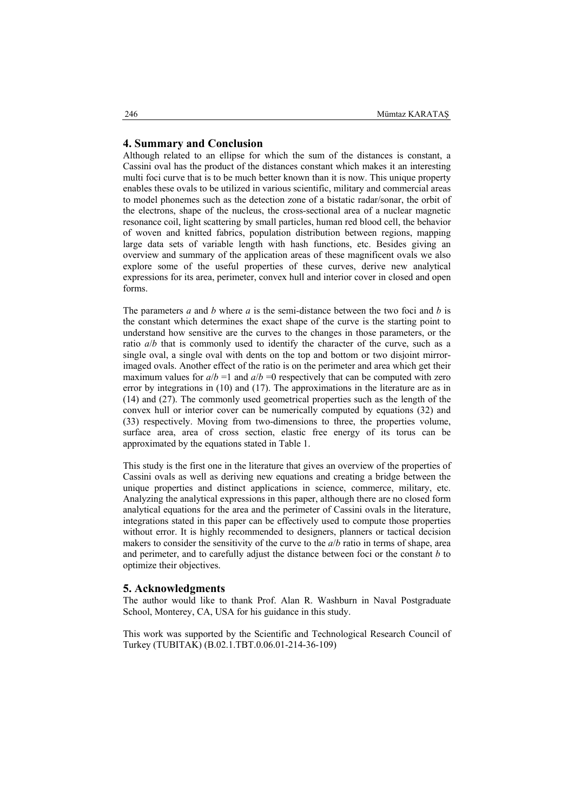#### **4. Summary and Conclusion**

Although related to an ellipse for which the sum of the distances is constant, a Cassini oval has the product of the distances constant which makes it an interesting multi foci curve that is to be much better known than it is now. This unique property enables these ovals to be utilized in various scientific, military and commercial areas to model phonemes such as the detection zone of a bistatic radar/sonar, the orbit of the electrons, shape of the nucleus, the cross-sectional area of a nuclear magnetic resonance coil, light scattering by small particles, human red blood cell, the behavior of woven and knitted fabrics, population distribution between regions, mapping large data sets of variable length with hash functions, etc. Besides giving an overview and summary of the application areas of these magnificent ovals we also explore some of the useful properties of these curves, derive new analytical expressions for its area, perimeter, convex hull and interior cover in closed and open forms.

The parameters *a* and *b* where *a* is the semi-distance between the two foci and *b* is the constant which determines the exact shape of the curve is the starting point to understand how sensitive are the curves to the changes in those parameters, or the ratio *a*/*b* that is commonly used to identify the character of the curve, such as a single oval, a single oval with dents on the top and bottom or two disjoint mirrorimaged ovals. Another effect of the ratio is on the perimeter and area which get their maximum values for  $a/b = 1$  and  $a/b = 0$  respectively that can be computed with zero error by integrations in (10) and (17). The approximations in the literature are as in (14) and (27). The commonly used geometrical properties such as the length of the convex hull or interior cover can be numerically computed by equations (32) and (33) respectively. Moving from two-dimensions to three, the properties volume, surface area, area of cross section, elastic free energy of its torus can be approximated by the equations stated in Table 1.

This study is the first one in the literature that gives an overview of the properties of Cassini ovals as well as deriving new equations and creating a bridge between the unique properties and distinct applications in science, commerce, military, etc. Analyzing the analytical expressions in this paper, although there are no closed form analytical equations for the area and the perimeter of Cassini ovals in the literature, integrations stated in this paper can be effectively used to compute those properties without error. It is highly recommended to designers, planners or tactical decision makers to consider the sensitivity of the curve to the *a*/*b* ratio in terms of shape, area and perimeter, and to carefully adjust the distance between foci or the constant *b* to optimize their objectives.

#### **5. Acknowledgments**

The author would like to thank Prof. Alan R. Washburn in Naval Postgraduate School, Monterey, CA, USA for his guidance in this study.

This work was supported by the Scientific and Technological Research Council of Turkey (TUBITAK) (B.02.1.TBT.0.06.01-214-36-109)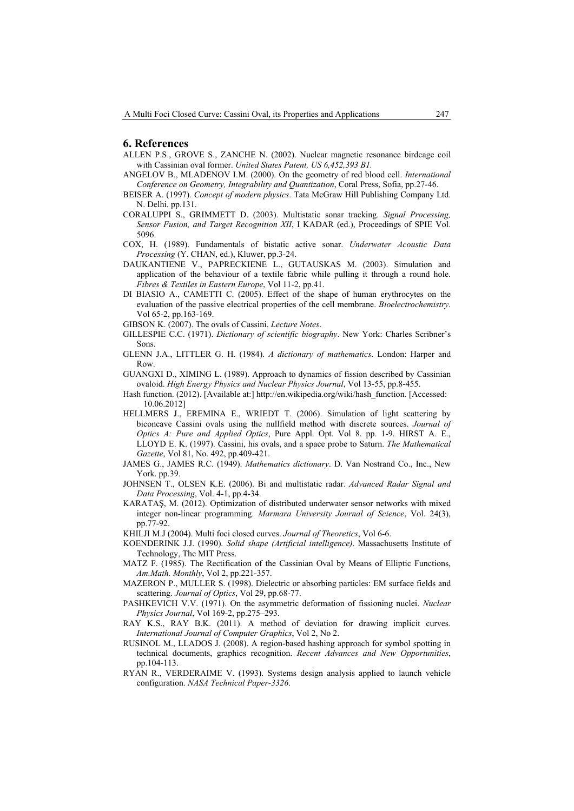#### **6. References**

- ALLEN P.S., GROVE S., ZANCHE N. (2002). Nuclear magnetic resonance birdcage coil with Cassinian oval former. *United States Patent, US 6,452,393 B1.*
- ANGELOV B., MLADENOV I.M. (2000). On the geometry of red blood cell. *International Conference on Geometry, Integrability and Quantization*, Coral Press, Sofia, pp.27-46.
- BEISER A. (1997). *Concept of modern physics*. Tata McGraw Hill Publishing Company Ltd. N. Delhi. pp.131.
- CORALUPPI S., GRIMMETT D. (2003). Multistatic sonar tracking. *Signal Processing, Sensor Fusion, and Target Recognition XII*, I KADAR (ed.), Proceedings of SPIE Vol. 5096.
- COX, H. (1989). Fundamentals of bistatic active sonar. *Underwater Acoustic Data Processing* (Y. CHAN, ed.), Kluwer, pp.3-24.
- DAUKANTIENE V., PAPRECKIENE L., GUTAUSKAS M. (2003). Simulation and application of the behaviour of a textile fabric while pulling it through a round hole. *Fibres & Textiles in Eastern Europe*, Vol 11-2, pp.41.
- DI BIASIO A., CAMETTI C. (2005). Effect of the shape of human erythrocytes on the evaluation of the passive electrical properties of the cell membrane. *Bioelectrochemistry*. Vol 65-2, pp.163-169.
- GIBSON K. (2007). The ovals of Cassini. *Lecture Notes*.
- GILLESPIE C.C. (1971). *Dictionary of scientific biography*. New York: Charles Scribner's Sons.
- GLENN J.A., LITTLER G. H. (1984). *A dictionary of mathematics*. London: Harper and Row.
- GUANGXI D., XIMING L. (1989). Approach to dynamics of fission described by Cassinian ovaloid. *High Energy Physics and Nuclear Physics Journal*, Vol 13-55, pp.8-455.
- Hash function. (2012). [Available at:] http://en.wikipedia.org/wiki/hash\_function. [Accessed: 10.06.2012]
- HELLMERS J., EREMINA E., WRIEDT T. (2006). Simulation of light scattering by biconcave Cassini ovals using the nullfield method with discrete sources. *Journal of Optics A: Pure and Applied Optics*, Pure Appl. Opt. Vol 8. pp. 1-9. HIRST A. E., LLOYD E. K. (1997). Cassini, his ovals, and a space probe to Saturn. *The Mathematical Gazette*, Vol 81, No. 492, pp.409-421.
- JAMES G., JAMES R.C. (1949). *Mathematics dictionary*. D. Van Nostrand Co., Inc., New York. pp.39.
- JOHNSEN T., OLSEN K.E. (2006). Bi and multistatic radar. *Advanced Radar Signal and Data Processing*, Vol. 4-1, pp.4-34.
- KARATAŞ, M. (2012). Optimization of distributed underwater sensor networks with mixed integer non-linear programming. *Marmara University Journal of Science*, Vol. 24(3), pp.77-92.
- KHILJI M.J (2004). Multi foci closed curves. *Journal of Theoretics*, Vol 6-6.
- KOENDERINK J.J. (1990). *Solid shape (Artificial intelligence)*. Massachusetts Institute of Technology, The MIT Press.
- MATZ F. (1985). The Rectification of the Cassinian Oval by Means of Elliptic Functions, *Am.Math. Monthly*, Vol 2, pp.221-357.
- MAZERON P., MULLER S. (1998). Dielectric or absorbing particles: EM surface fields and scattering. *Journal of Optics*, Vol 29, pp.68-77.
- PASHKEVICH V.V. (1971). On the asymmetric deformation of fissioning nuclei. *Nuclear Physics Journal*, Vol 169-2, pp.275–293.
- RAY K.S., RAY B.K. (2011). A method of deviation for drawing implicit curves. *International Journal of Computer Graphics*, Vol 2, No 2.
- RUSINOL M., LLADOS J. (2008). A region-based hashing approach for symbol spotting in technical documents, graphics recognition. *Recent Advances and New Opportunities*, pp.104-113.
- RYAN R., VERDERAIME V. (1993). Systems design analysis applied to launch vehicle configuration. *NASA Technical Paper-3326*.